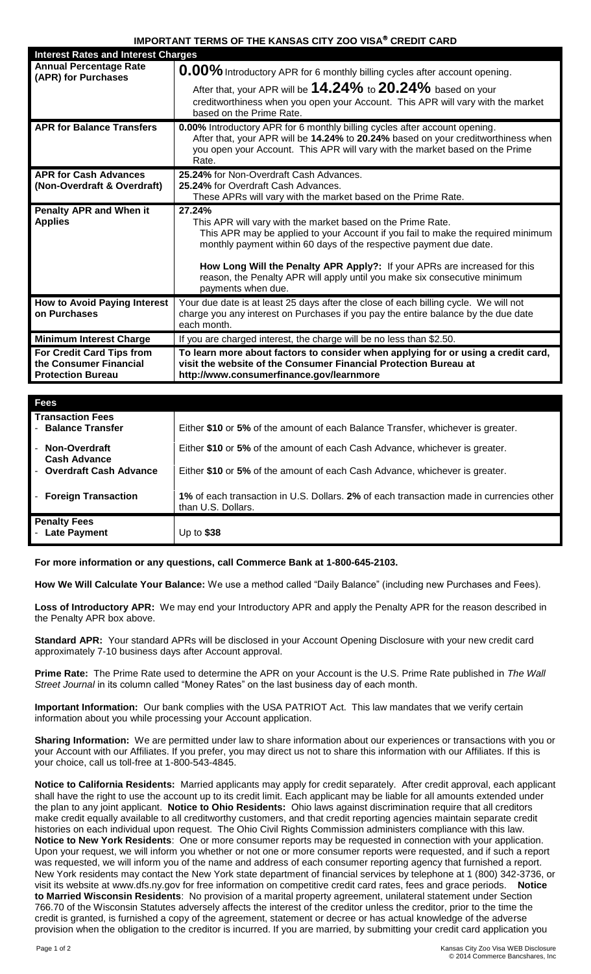## **IMPORTANT TERMS OF THE KANSAS CITY ZOO VISA® CREDIT CARD**

| <b>Interest Rates and Interest Charges</b>           |                                                                                                                                                                                                                       |
|------------------------------------------------------|-----------------------------------------------------------------------------------------------------------------------------------------------------------------------------------------------------------------------|
| <b>Annual Percentage Rate</b><br>(APR) for Purchases | 0.00% Introductory APR for 6 monthly billing cycles after account opening.                                                                                                                                            |
|                                                      | After that, your APR will be $14.24\%$ to $20.24\%$ based on your                                                                                                                                                     |
|                                                      | creditworthiness when you open your Account. This APR will vary with the market<br>based on the Prime Rate.                                                                                                           |
| <b>APR for Balance Transfers</b>                     | 0.00% Introductory APR for 6 monthly billing cycles after account opening.                                                                                                                                            |
|                                                      | After that, your APR will be 14.24% to 20.24% based on your creditworthiness when                                                                                                                                     |
|                                                      | you open your Account. This APR will vary with the market based on the Prime<br>Rate.                                                                                                                                 |
| <b>APR for Cash Advances</b>                         | 25.24% for Non-Overdraft Cash Advances.                                                                                                                                                                               |
| (Non-Overdraft & Overdraft)                          | 25.24% for Overdraft Cash Advances.                                                                                                                                                                                   |
|                                                      | These APRs will vary with the market based on the Prime Rate.                                                                                                                                                         |
| <b>Penalty APR and When it</b>                       | 27.24%                                                                                                                                                                                                                |
|                                                      |                                                                                                                                                                                                                       |
| <b>Applies</b>                                       | This APR will vary with the market based on the Prime Rate.<br>This APR may be applied to your Account if you fail to make the required minimum<br>monthly payment within 60 days of the respective payment due date. |
|                                                      | How Long Will the Penalty APR Apply?: If your APRs are increased for this<br>reason, the Penalty APR will apply until you make six consecutive minimum<br>payments when due.                                          |
| <b>How to Avoid Paying Interest</b>                  | Your due date is at least 25 days after the close of each billing cycle. We will not                                                                                                                                  |
| on Purchases                                         | charge you any interest on Purchases if you pay the entire balance by the due date<br>each month.                                                                                                                     |
| <b>Minimum Interest Charge</b>                       | If you are charged interest, the charge will be no less than \$2.50.                                                                                                                                                  |
| For Credit Card Tips from                            | To learn more about factors to consider when applying for or using a credit card,                                                                                                                                     |
| the Consumer Financial<br><b>Protection Bureau</b>   | visit the website of the Consumer Financial Protection Bureau at<br>http://www.consumerfinance.gov/learnmore                                                                                                          |

| Fees                                          |                                                                                                               |
|-----------------------------------------------|---------------------------------------------------------------------------------------------------------------|
| <b>Transaction Fees</b><br>- Balance Transfer | Either \$10 or 5% of the amount of each Balance Transfer, whichever is greater.                               |
| <b>Non-Overdraft</b><br><b>Cash Advance</b>   | Either \$10 or 5% of the amount of each Cash Advance, whichever is greater.                                   |
| <b>Overdraft Cash Advance</b>                 | Either \$10 or 5% of the amount of each Cash Advance, whichever is greater.                                   |
| <b>Foreign Transaction</b>                    | 1% of each transaction in U.S. Dollars, 2% of each transaction made in currencies other<br>than U.S. Dollars. |
| <b>Penalty Fees</b><br><b>Late Payment</b>    | Up to \$38                                                                                                    |

**For more information or any questions, call Commerce Bank at 1-800-645-2103.**

**How We Will Calculate Your Balance:** We use a method called "Daily Balance" (including new Purchases and Fees).

**Loss of Introductory APR:** We may end your Introductory APR and apply the Penalty APR for the reason described in the Penalty APR box above.

**Standard APR:** Your standard APRs will be disclosed in your Account Opening Disclosure with your new credit card approximately 7-10 business days after Account approval.

**Prime Rate:** The Prime Rate used to determine the APR on your Account is the U.S. Prime Rate published in *The Wall Street Journal* in its column called "Money Rates" on the last business day of each month.

**Important Information:** Our bank complies with the USA PATRIOT Act. This law mandates that we verify certain information about you while processing your Account application.

**Sharing Information:** We are permitted under law to share information about our experiences or transactions with you or your Account with our Affiliates. If you prefer, you may direct us not to share this information with our Affiliates. If this is your choice, call us toll-free at 1-800-543-4845.

**Notice to California Residents:** Married applicants may apply for credit separately. After credit approval, each applicant shall have the right to use the account up to its credit limit. Each applicant may be liable for all amounts extended under the plan to any joint applicant. **Notice to Ohio Residents:** Ohio laws against discrimination require that all creditors make credit equally available to all creditworthy customers, and that credit reporting agencies maintain separate credit histories on each individual upon request. The Ohio Civil Rights Commission administers compliance with this law. **Notice to New York Residents**: One or more consumer reports may be requested in connection with your application. Upon your request, we will inform you whether or not one or more consumer reports were requested, and if such a report was requested, we will inform you of the name and address of each consumer reporting agency that furnished a report. New York residents may contact the New York state department of financial services by telephone at 1 (800) 342-3736, or visit its website at www.dfs.ny.gov for free information on competitive credit card rates, fees and grace periods. **Notice to Married Wisconsin Residents**: No provision of a marital property agreement, unilateral statement under Section 766.70 of the Wisconsin Statutes adversely affects the interest of the creditor unless the creditor, prior to the time the credit is granted, is furnished a copy of the agreement, statement or decree or has actual knowledge of the adverse provision when the obligation to the creditor is incurred. If you are married, by submitting your credit card application you